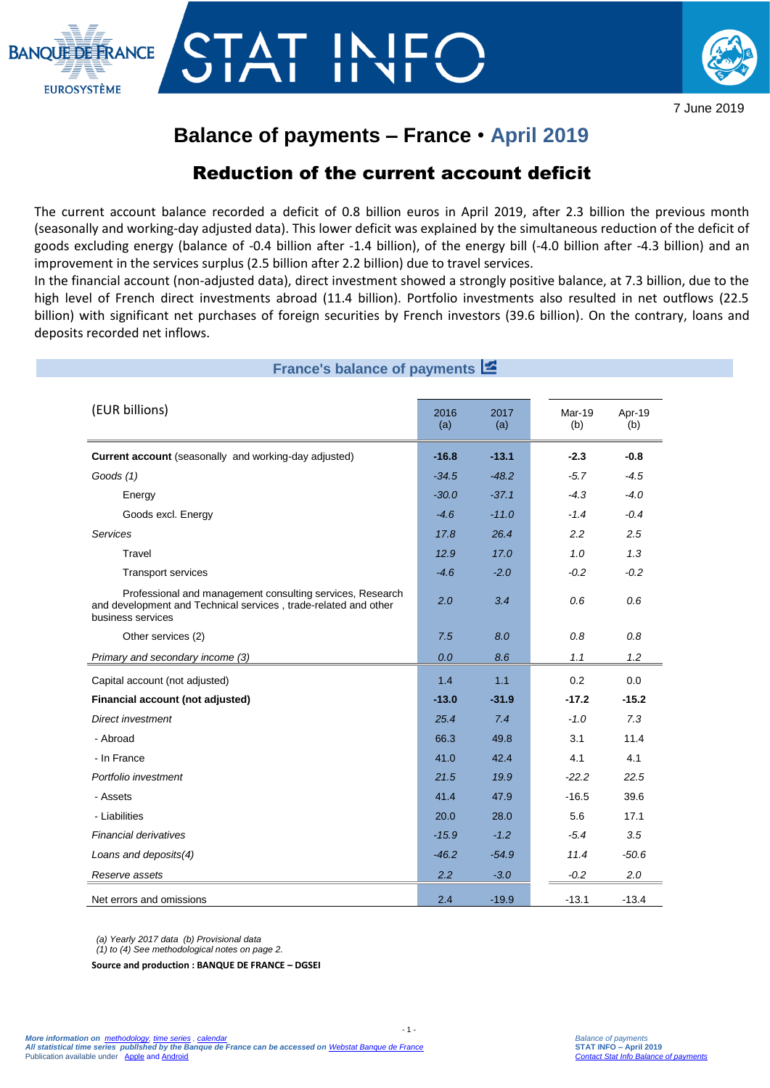



## **Balance of payments – France** • **April 2019**

## Reduction of the current account deficit

The current account balance recorded a deficit of 0.8 billion euros in April 2019, after 2.3 billion the previous month (seasonally and working-day adjusted data). This lower deficit was explained by the simultaneous reduction of the deficit of goods excluding energy (balance of -0.4 billion after -1.4 billion), of the energy bill (-4.0 billion after -4.3 billion) and an improvement in the services surplus (2.5 billion after 2.2 billion) due to travel services.

In the financial account (non-adjusted data), direct investment showed a strongly positive balance, at 7.3 billion, due to the high level of French direct investments abroad (11.4 billion). Portfolio investments also resulted in net outflows (22.5 billion) with significant net purchases of foreign securities by French investors (39.6 billion). On the contrary, loans and deposits recorded net inflows.

| France's balance of payments E                                                                                                                    |             |             |               |               |
|---------------------------------------------------------------------------------------------------------------------------------------------------|-------------|-------------|---------------|---------------|
| (EUR billions)                                                                                                                                    | 2016<br>(a) | 2017<br>(a) | Mar-19<br>(b) | Apr-19<br>(b) |
| Current account (seasonally and working-day adjusted)                                                                                             | $-16.8$     | $-13.1$     | $-2.3$        | $-0.8$        |
| Goods (1)                                                                                                                                         | $-34.5$     | $-48.2$     | $-5.7$        | $-4.5$        |
| Energy                                                                                                                                            | $-30.0$     | $-37.1$     | $-4.3$        | $-4.0$        |
| Goods excl. Energy                                                                                                                                | $-4.6$      | $-11.0$     | $-1.4$        | $-0.4$        |
| Services                                                                                                                                          | 17.8        | 26.4        | 2.2           | 2.5           |
| Travel                                                                                                                                            | 12.9        | 17.0        | 1.0           | 1.3           |
| <b>Transport services</b>                                                                                                                         | $-4.6$      | $-2.0$      | $-0.2$        | $-0.2$        |
| Professional and management consulting services, Research<br>and development and Technical services, trade-related and other<br>business services | 2.0         | 3.4         | 0.6           | 0.6           |
| Other services (2)                                                                                                                                | 7.5         | 8.0         | 0.8           | 0.8           |
| Primary and secondary income (3)                                                                                                                  | 0.0         | 8.6         | 1.1           | 1.2           |
| Capital account (not adjusted)                                                                                                                    | 1.4         | 1.1         | 0.2           | 0.0           |
| Financial account (not adjusted)                                                                                                                  | $-13.0$     | $-31.9$     | $-17.2$       | $-15.2$       |
| Direct investment                                                                                                                                 | 25.4        | 7.4         | $-1.0$        | 7.3           |
| - Abroad                                                                                                                                          | 66.3        | 49.8        | 3.1           | 11.4          |
| - In France                                                                                                                                       | 41.0        | 42.4        | 4.1           | 4.1           |
| Portfolio investment                                                                                                                              | 21.5        | 19.9        | $-22.2$       | 22.5          |
| - Assets                                                                                                                                          | 41.4        | 47.9        | $-16.5$       | 39.6          |
| - Liabilities                                                                                                                                     | 20.0        | 28.0        | 5.6           | 17.1          |
| <b>Financial derivatives</b>                                                                                                                      | $-15.9$     | $-1.2$      | $-5.4$        | 3.5           |
| Loans and deposits(4)                                                                                                                             | $-46.2$     | $-54.9$     | 11.4          | $-50.6$       |
| Reserve assets                                                                                                                                    | 2.2         | $-3.0$      | $-0.2$        | 2.0           |
| Net errors and omissions                                                                                                                          | 2.4         | $-19.9$     | $-13.1$       | $-13.4$       |

- 1 -

*(a) Yearly 2017 data (b) Provisional data*

*(1) to (4) See methodological notes on page 2.*

**Source and production : BANQUE DE FRANCE – DGSEI**